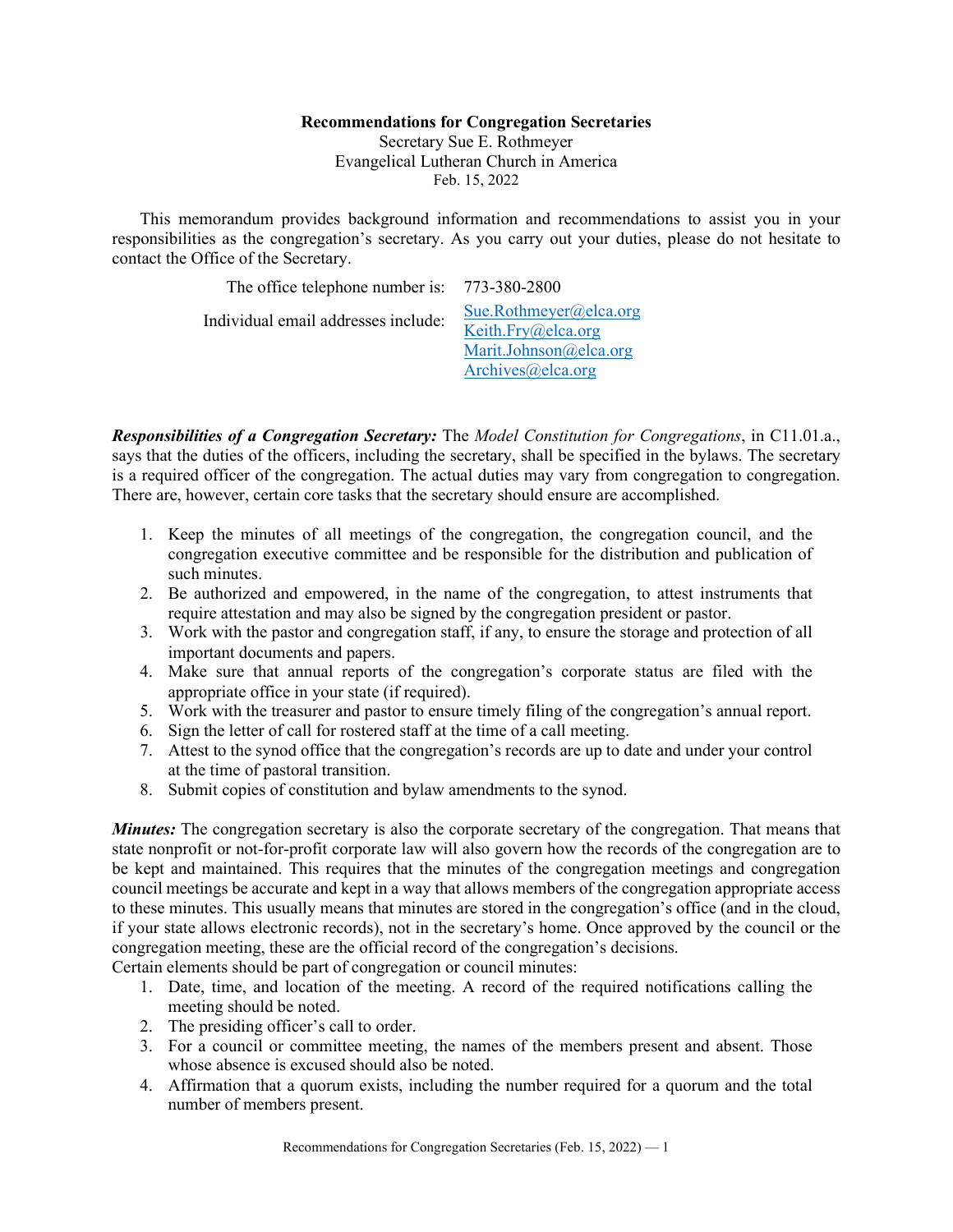## **Recommendations for Congregation Secretaries**

Secretary Sue E. Rothmeyer Evangelical Lutheran Church in America Feb. 15, 2022

This memorandum provides background information and recommendations to assist you in your responsibilities as the congregation's secretary. As you carry out your duties, please do not hesitate to contact the Office of the Secretary.

| The office telephone number is: 773-380-2800 |                                              |
|----------------------------------------------|----------------------------------------------|
| Individual email addresses include:          | Sue.Rothmeyer@elca.org<br>Keith.Fry@elca.org |
|                                              | Marit.Johnson@elca.org                       |
|                                              | Archives@elca.org                            |

*Responsibilities of a Congregation Secretary:* The *Model Constitution for Congregations*, in C11.01.a., says that the duties of the officers, including the secretary, shall be specified in the bylaws. The secretary is a required officer of the congregation. The actual duties may vary from congregation to congregation. There are, however, certain core tasks that the secretary should ensure are accomplished.

- 1. Keep the minutes of all meetings of the congregation, the congregation council, and the congregation executive committee and be responsible for the distribution and publication of such minutes.
- 2. Be authorized and empowered, in the name of the congregation, to attest instruments that require attestation and may also be signed by the congregation president or pastor.
- 3. Work with the pastor and congregation staff, if any, to ensure the storage and protection of all important documents and papers.
- 4. Make sure that annual reports of the congregation's corporate status are filed with the appropriate office in your state (if required).
- 5. Work with the treasurer and pastor to ensure timely filing of the congregation's annual report.
- 6. Sign the letter of call for rostered staff at the time of a call meeting.
- 7. Attest to the synod office that the congregation's records are up to date and under your control at the time of pastoral transition.
- 8. Submit copies of constitution and bylaw amendments to the synod.

*Minutes:* The congregation secretary is also the corporate secretary of the congregation. That means that state nonprofit or not-for-profit corporate law will also govern how the records of the congregation are to be kept and maintained. This requires that the minutes of the congregation meetings and congregation council meetings be accurate and kept in a way that allows members of the congregation appropriate access to these minutes. This usually means that minutes are stored in the congregation's office (and in the cloud, if your state allows electronic records), not in the secretary's home. Once approved by the council or the congregation meeting, these are the official record of the congregation's decisions.

Certain elements should be part of congregation or council minutes:

- 1. Date, time, and location of the meeting. A record of the required notifications calling the meeting should be noted.
- 2. The presiding officer's call to order.
- 3. For a council or committee meeting, the names of the members present and absent. Those whose absence is excused should also be noted.
- 4. Affirmation that a quorum exists, including the number required for a quorum and the total number of members present.